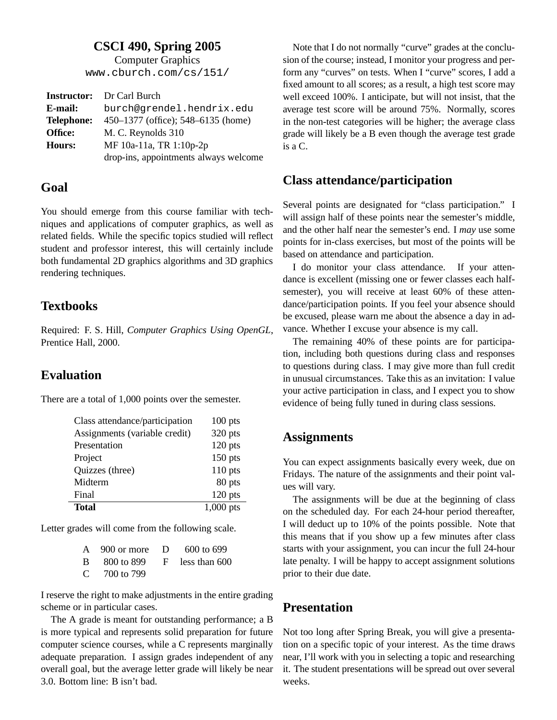### **CSCI 490, Spring 2005**

Computer Graphics www.cburch.com/cs/151/

|                   | <b>Instructor:</b> Dr Carl Burch      |  |
|-------------------|---------------------------------------|--|
| E-mail:           | burch@grendel.hendrix.edu             |  |
| <b>Telephone:</b> | 450–1377 (office); 548–6135 (home)    |  |
| Office:           | M. C. Reynolds 310                    |  |
| Hours:            | MF 10a-11a, TR 1:10p-2p               |  |
|                   | drop-ins, appointments always welcome |  |

#### **Goal**

You should emerge from this course familiar with techniques and applications of computer graphics, as well as related fields. While the specific topics studied will reflect student and professor interest, this will certainly include both fundamental 2D graphics algorithms and 3D graphics rendering techniques.

### **Textbooks**

Required: F. S. Hill, *Computer Graphics Using OpenGL*, Prentice Hall, 2000.

### **Evaluation**

There are a total of 1,000 points over the semester.

| Class attendance/participation | $100$ pts   |
|--------------------------------|-------------|
| Assignments (variable credit)  | 320 pts     |
| Presentation                   | $120$ pts   |
| Project                        | $150$ pts   |
| Quizzes (three)                | $110$ pts   |
| Midterm                        | 80 pts      |
| Final                          | $120$ pts   |
| <b>Total</b>                   | $1,000$ pts |

Letter grades will come from the following scale.

| A $900$ or more D $600$ to 699             |  |
|--------------------------------------------|--|
| $\rm{B}$ 800 to 899 $\rm{F}$ less than 600 |  |
| C $-700$ to 799                            |  |

I reserve the right to make adjustments in the entire grading scheme or in particular cases.

The A grade is meant for outstanding performance; a B is more typical and represents solid preparation for future computer science courses, while a C represents marginally adequate preparation. I assign grades independent of any overall goal, but the average letter grade will likely be near 3.0. Bottom line: B isn't bad.

Note that I do not normally "curve" grades at the conclusion of the course; instead, I monitor your progress and perform any "curves" on tests. When I "curve" scores, I add a fixed amount to all scores; as a result, a high test score may well exceed 100%. I anticipate, but will not insist, that the average test score will be around 75%. Normally, scores in the non-test categories will be higher; the average class grade will likely be a B even though the average test grade is a C.

### **Class attendance/participation**

Several points are designated for "class participation." I will assign half of these points near the semester's middle, and the other half near the semester's end. I *may* use some points for in-class exercises, but most of the points will be based on attendance and participation.

I do monitor your class attendance. If your attendance is excellent (missing one or fewer classes each halfsemester), you will receive at least 60% of these attendance/participation points. If you feel your absence should be excused, please warn me about the absence a day in advance. Whether I excuse your absence is my call.

The remaining 40% of these points are for participation, including both questions during class and responses to questions during class. I may give more than full credit in unusual circumstances. Take this as an invitation: I value your active participation in class, and I expect you to show evidence of being fully tuned in during class sessions.

### **Assignments**

You can expect assignments basically every week, due on Fridays. The nature of the assignments and their point values will vary.

The assignments will be due at the beginning of class on the scheduled day. For each 24-hour period thereafter, I will deduct up to 10% of the points possible. Note that this means that if you show up a few minutes after class starts with your assignment, you can incur the full 24-hour late penalty. I will be happy to accept assignment solutions prior to their due date.

### **Presentation**

Not too long after Spring Break, you will give a presentation on a specific topic of your interest. As the time draws near, I'll work with you in selecting a topic and researching it. The student presentations will be spread out over several weeks.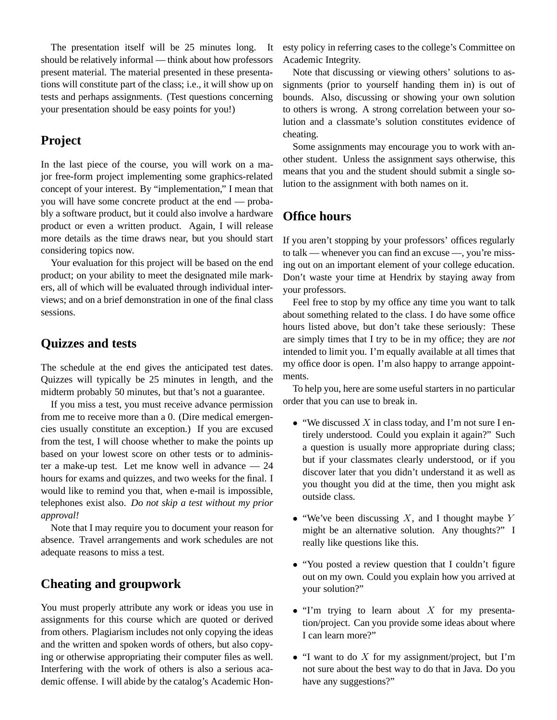The presentation itself will be 25 minutes long. It should be relatively informal — think about how professors present material. The material presented in these presentations will constitute part of the class; i.e., it will show up on tests and perhaps assignments. (Test questions concerning your presentation should be easy points for you!)

### **Project**

In the last piece of the course, you will work on a major free-form project implementing some graphics-related concept of your interest. By "implementation," I mean that you will have some concrete product at the end — probably a software product, but it could also involve a hardware product or even a written product. Again, I will release more details as the time draws near, but you should start considering topics now.

Your evaluation for this project will be based on the end product; on your ability to meet the designated mile markers, all of which will be evaluated through individual interviews; and on a brief demonstration in one of the final class sessions.

### **Quizzes and tests**

The schedule at the end gives the anticipated test dates. Quizzes will typically be 25 minutes in length, and the midterm probably 50 minutes, but that's not a guarantee.

If you miss a test, you must receive advance permission from me to receive more than a 0. (Dire medical emergencies usually constitute an exception.) If you are excused from the test, I will choose whether to make the points up based on your lowest score on other tests or to administer a make-up test. Let me know well in advance — 24 hours for exams and quizzes, and two weeks for the final. I would like to remind you that, when e-mail is impossible, telephones exist also. *Do not skip a test without my prior approval!*

Note that I may require you to document your reason for absence. Travel arrangements and work schedules are not adequate reasons to miss a test.

# **Cheating and groupwork**

You must properly attribute any work or ideas you use in assignments for this course which are quoted or derived from others. Plagiarism includes not only copying the ideas and the written and spoken words of others, but also copying or otherwise appropriating their computer files as well. Interfering with the work of others is also a serious academic offense. I will abide by the catalog's Academic Honesty policy in referring cases to the college's Committee on Academic Integrity.

Note that discussing or viewing others' solutions to assignments (prior to yourself handing them in) is out of bounds. Also, discussing or showing your own solution to others is wrong. A strong correlation between your solution and a classmate's solution constitutes evidence of cheating.

Some assignments may encourage you to work with another student. Unless the assignment says otherwise, this means that you and the student should submit a single solution to the assignment with both names on it.

### **Office hours**

If you aren't stopping by your professors' offices regularly to talk — whenever you can find an excuse —, you're missing out on an important element of your college education. Don't waste your time at Hendrix by staying away from your professors.

Feel free to stop by my office any time you want to talk about something related to the class. I do have some office hours listed above, but don't take these seriously: These are simply times that I try to be in my office; they are *not* intended to limit you. I'm equally available at all times that my office door is open. I'm also happy to arrange appointments.

To help you, here are some useful starters in no particular order that you can use to break in.

- "We discussed  $X$  in class today, and I'm not sure I entirely understood. Could you explain it again?" Such a question is usually more appropriate during class; but if your classmates clearly understood, or if you discover later that you didn't understand it as well as you thought you did at the time, then you might ask outside class.
- "We've been discussing  $X$ , and I thought maybe  $Y$ might be an alternative solution. Any thoughts?" I really like questions like this.
- "You posted a review question that I couldn't figure out on my own. Could you explain how you arrived at your solution?"
- $\bullet$  "I'm trying to learn about X for my presentation/project. Can you provide some ideas about where I can learn more?"
- "I want to do  $X$  for my assignment/project, but I'm not sure about the best way to do that in Java. Do you have any suggestions?"